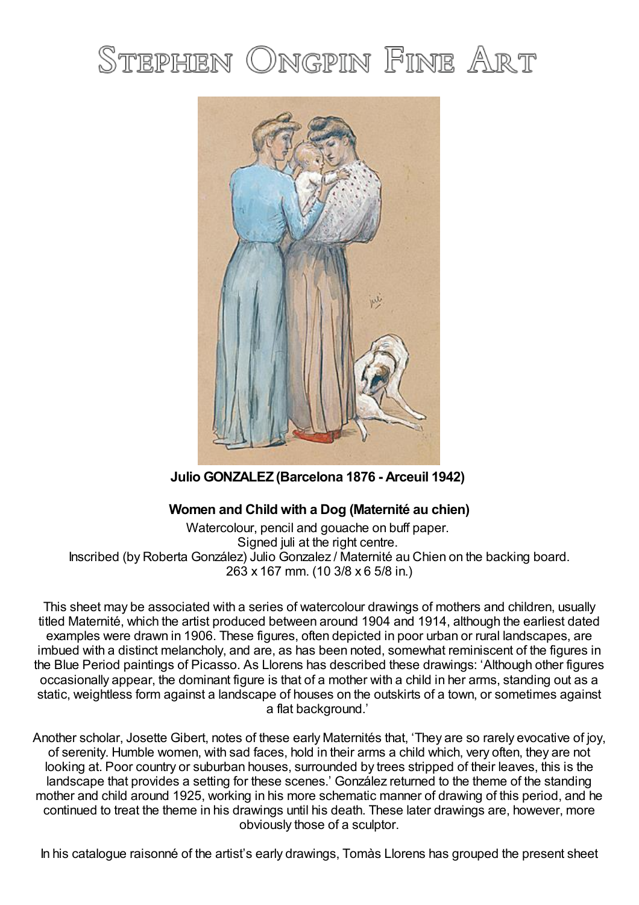# STEPHEN ONGPIN FINE ART



**Julio GONZALEZ (Barcelona 1876 - Arceuil 1942)**

## **Women and Child with a Dog (Maternité au chien)**

Watercolour, pencil and gouache on buff paper. Signed juli at the right centre. Inscribed (by Roberta González) Julio Gonzalez / Maternité au Chien on the backing board. 263 x 167 mm. (10 3/8 x 6 5/8 in.)

This sheet may be associated with a series of watercolour drawings of mothers and children, usually titled Maternité, which the artist produced between around 1904 and 1914, although the earliest dated examples were drawn in 1906. These figures, often depicted in poor urban or rural landscapes, are imbued with a distinct melancholy, and are, as has been noted, somewhat reminiscent of the figures in the Blue Period paintings of Picasso. As Llorens has described these drawings: 'Although other figures occasionally appear, the dominant figure is that of a mother with a child in her arms, standing out as a static, weightless form against a landscape of houses on the outskirts of a town, or sometimes against a flat background.'

Another scholar, Josette Gibert, notes of these early Maternités that, 'They are so rarely evocative of joy, of serenity. Humble women, with sad faces, hold in their arms a child which, very often, they are not looking at. Poor country or suburban houses, surrounded by trees stripped of their leaves, this is the landscape that provides a setting for these scenes.' González returned to the theme of the standing mother and child around 1925, working in his more schematic manner of drawing of this period, and he continued to treat the theme in his drawings until his death. These later drawings are, however, more obviously those of a sculptor.

In his catalogue raisonné of the artist's early drawings, Tomàs Llorens has grouped the present sheet